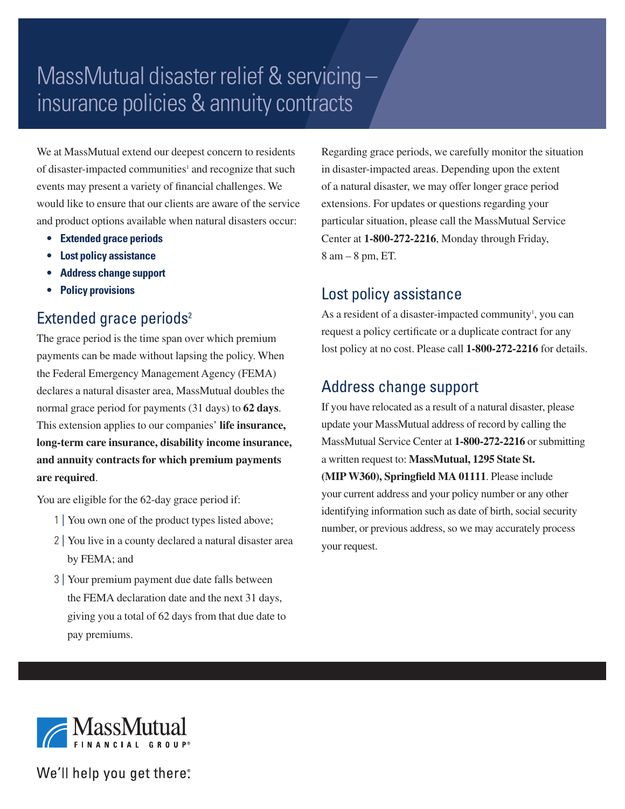# MassMutual disaster relief & servicing – insurance policies & annuity contracts

We at MassMutual extend our deepest concern to residents of disaster-impacted communities<sup>1</sup> and recognize that such events may present a variety of financial challenges. We would like to ensure that our clients are aware of the service and product options available when natural disasters occur:

- **• Extended grace periods**
- **• Lost policy assistance**
- **• Address change support**
- **• Policy provisions**

# Extended grace periods<sup>2</sup>

The grace period is the time span over which premium payments can be made without lapsing the policy. When the Federal Emergency Management Agency (FEMA) declares a natural disaster area, MassMutual doubles the normal grace period for payments (31 days) to **62 days**. This extension applies to our companies' **life insurance, long-term care insurance, disability income insurance, and annuity contracts for which premium payments are required**.

You are eligible for the 62-day grace period if:

- 1 | You own one of the product types listed above;
- 2 | You live in a county declared a natural disaster area by FEMA; and
- 3 | Your premium payment due date falls between the FEMA declaration date and the next 31 days, giving you a total of 62 days from that due date to pay premiums.

Regarding grace periods, we carefully monitor the situation in disaster-impacted areas. Depending upon the extent of a natural disaster, we may offer longer grace period extensions. For updates or questions regarding your particular situation, please call the MassMutual Service Center at **1-800-272-2216**, Monday through Friday, 8 am – 8 pm, ET.

#### Lost policy assistance

As a resident of a disaster-impacted community<sup>1</sup>, you can request a policy certificate or a duplicate contract for any lost policy at no cost. Please call **1-800-272-2216** for details.

## Address change support

If you have relocated as a result of a natural disaster, please update your MassMutual address of record by calling the MassMutual Service Center at **1-800-272-2216** or submitting a written request to: **MassMutual, 1295 State St. (MIP W360), Springfield MA 01111**. Please include your current address and your policy number or any other identifying information such as date of birth, social security number, or previous address, so we may accurately process your request.



We'll help you get there.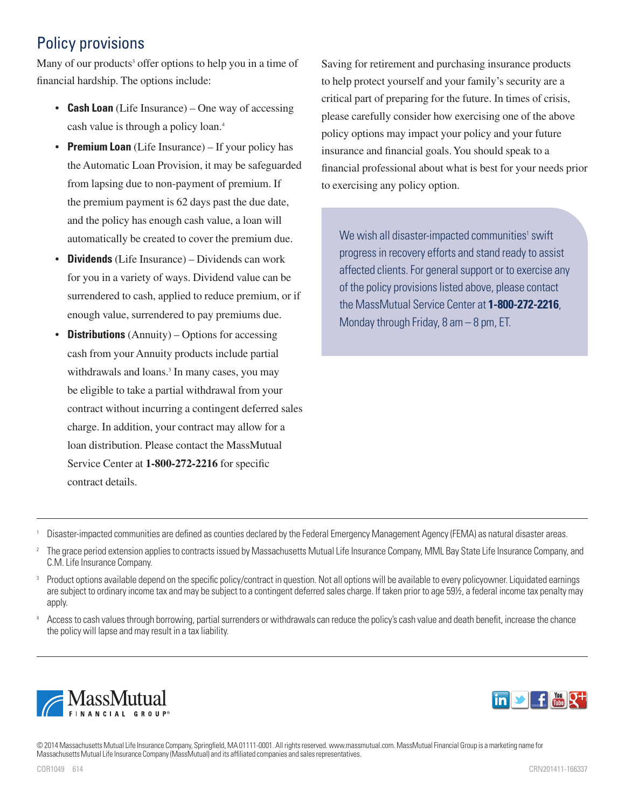# Policy provisions

Many of our products<sup>3</sup> offer options to help you in a time of financial hardship. The options include:

- **Cash Loan** (Life Insurance) One way of accessing cash value is through a policy loan.4
- **Premium Loan** (Life Insurance) If your policy has the Automatic Loan Provision, it may be safeguarded from lapsing due to non-payment of premium. If the premium payment is 62 days past the due date, and the policy has enough cash value, a loan will automatically be created to cover the premium due.
- **Dividends** (Life Insurance) Dividends can work for you in a variety of ways. Dividend value can be surrendered to cash, applied to reduce premium, or if enough value, surrendered to pay premiums due.
- **Distributions** (Annuity) Options for accessing cash from your Annuity products include partial withdrawals and loans.<sup>3</sup> In many cases, you may be eligible to take a partial withdrawal from your contract without incurring a contingent deferred sales charge. In addition, your contract may allow for a loan distribution. Please contact the MassMutual Service Center at **1-800-272-2216** for specific contract details.

Saving for retirement and purchasing insurance products to help protect yourself and your family's security are a critical part of preparing for the future. In times of crisis, please carefully consider how exercising one of the above policy options may impact your policy and your future insurance and financial goals. You should speak to a financial professional about what is best for your needs prior to exercising any policy option.

We wish all disaster-impacted communities<sup>1</sup> swift progress in recovery efforts and stand ready to assist affected clients. For general support or to exercise any of the policy provisions listed above, please contact the MassMutual Service Center at **1-800-272-2216**, Monday through Friday, 8 am – 8 pm, ET.

- <sup>1</sup> Disaster-impacted communities are defined as counties declared by the Federal Emergency Management Agency (FEMA) as natural disaster areas.
- <sup>2</sup> The grace period extension applies to contracts issued by Massachusetts Mutual Life Insurance Company, MML Bay State Life Insurance Company, and C.M. Life Insurance Company.
- <sup>3</sup> Product options available depend on the specific policy/contract in question. Not all options will be available to every policyowner. Liquidated earnings are subject to ordinary income tax and may be subject to a contingent deferred sales charge. If taken prior to age 59½, a federal income tax penalty may apply.
- Access to cash values through borrowing, partial surrenders or withdrawals can reduce the policy's cash value and death benefit, increase the chance the policy will lapse and may result in a tax liability.





© 2014 Massachusetts Mutual Life Insurance Company, Springfield, MA 01111-0001. All rights reserved. www.massmutual.com. MassMutual Financial Group is a marketing name for Massachusetts Mutual Life Insurance Company (MassMutual) and its affiliated companies and sales representatives.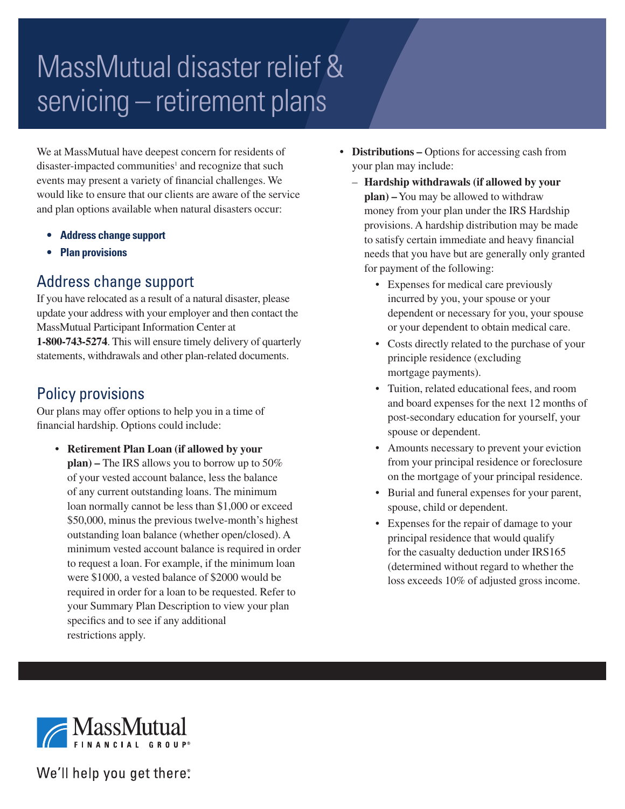# MassMutual disaster relief & servicing – retirement plans

We at MassMutual have deepest concern for residents of disaster-impacted communities<sup>1</sup> and recognize that such events may present a variety of financial challenges. We would like to ensure that our clients are aware of the service and plan options available when natural disasters occur:

- **• Address change support**
- **• Plan provisions**

#### Address change support

If you have relocated as a result of a natural disaster, please update your address with your employer and then contact the MassMutual Participant Information Center at **1-800-743-5274**. This will ensure timely delivery of quarterly statements, withdrawals and other plan-related documents.

## Policy provisions

Our plans may offer options to help you in a time of financial hardship. Options could include:

**• Retirement Plan Loan (if allowed by your plan) –** The IRS allows you to borrow up to 50% of your vested account balance, less the balance of any current outstanding loans. The minimum loan normally cannot be less than \$1,000 or exceed \$50,000, minus the previous twelve-month's highest outstanding loan balance (whether open/closed). A minimum vested account balance is required in order to request a loan. For example, if the minimum loan were \$1000, a vested balance of \$2000 would be required in order for a loan to be requested. Refer to your Summary Plan Description to view your plan specifics and to see if any additional restrictions apply.

- **• Distributions –** Options for accessing cash from your plan may include:
	- **Hardship withdrawals (if allowed by your plan) –** You may be allowed to withdraw money from your plan under the IRS Hardship provisions. A hardship distribution may be made to satisfy certain immediate and heavy financial needs that you have but are generally only granted for payment of the following:
		- Expenses for medical care previously incurred by you, your spouse or your dependent or necessary for you, your spouse or your dependent to obtain medical care.
		- Costs directly related to the purchase of your principle residence (excluding mortgage payments).
		- Tuition, related educational fees, and room and board expenses for the next 12 months of post-secondary education for yourself, your spouse or dependent.
		- Amounts necessary to prevent your eviction from your principal residence or foreclosure on the mortgage of your principal residence.
		- Burial and funeral expenses for your parent, spouse, child or dependent.
		- Expenses for the repair of damage to your principal residence that would qualify for the casualty deduction under IRS165 (determined without regard to whether the loss exceeds 10% of adjusted gross income.



We'll help you get there: